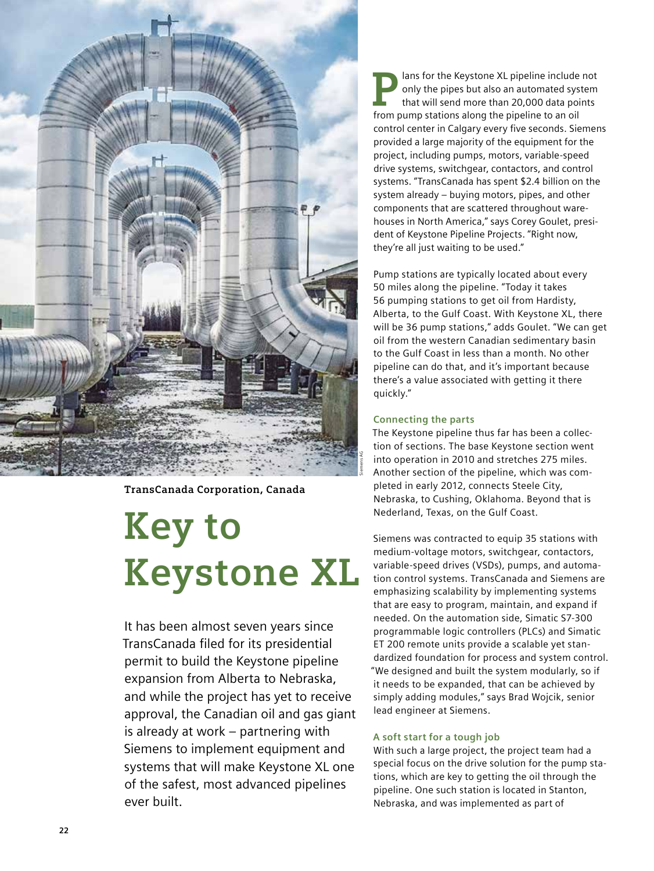

**TransCanada Corporation, Canada**

# **Key to Keystone XL**

It has been almost seven years since TransCanada filed for its presidential permit to build the Keystone pipeline expansion from Alberta to Nebraska, and while the project has yet to receive approval, the Canadian oil and gas giant is already at work – partnering with Siemens to implement equipment and systems that will make Keystone XL one of the safest, most advanced pipelines ever built.

**Plans for the Keystone XL pipeline include not**<br>only the pipes but also an automated system<br>that will send more than 20,000 data points<br>from nume stations along the pipeline to an eil only the pipes but also an automated system that will send more than 20,000 data points from pump stations along the pipeline to an oil control center in Calgary every five seconds. Siemens provided a large majority of the equipment for the project, including pumps, motors, variable-speed drive systems, switchgear, contactors, and control systems. "TransCanada has spent \$2.4 billion on the system already – buying motors, pipes, and other components that are scattered throughout warehouses in North America," says Corey Goulet, president of Keystone Pipeline Projects. "Right now, they're all just waiting to be used."

Pump stations are typically located about every 50 miles along the pipeline. "Today it takes 56 pumping stations to get oil from Hardisty, Alberta, to the Gulf Coast. With Keystone XL, there will be 36 pump stations," adds Goulet. "We can get oil from the western Canadian sedimentary basin to the Gulf Coast in less than a month. No other pipeline can do that, and it's important because there's a value associated with getting it there quickly."

## **Connecting the parts**

The Keystone pipeline thus far has been a collection of sections. The base Keystone section went into operation in 2010 and stretches 275 miles. Another section of the pipeline, which was completed in early 2012, connects Steele City, Nebraska, to Cushing, Oklahoma. Beyond that is Nederland, Texas, on the Gulf Coast.

Siemens was contracted to equip 35 stations with medium-voltage motors, switchgear, contactors, variable-speed drives (VSDs), pumps, and automation control systems. TransCanada and Siemens are emphasizing scalability by implementing systems that are easy to program, maintain, and expand if needed. On the automation side, Simatic S7-300 programmable logic controllers (PLCs) and Simatic ET 200 remote units provide a scalable yet standardized foundation for process and system control. "We designed and built the system modularly, so if it needs to be expanded, that can be achieved by simply adding modules," says Brad Wojcik, senior lead engineer at Siemens.

## **A soft start for a tough job**

With such a large project, the project team had a special focus on the drive solution for the pump stations, which are key to getting the oil through the pipeline. One such station is located in Stanton, Nebraska, and was implemented as part of